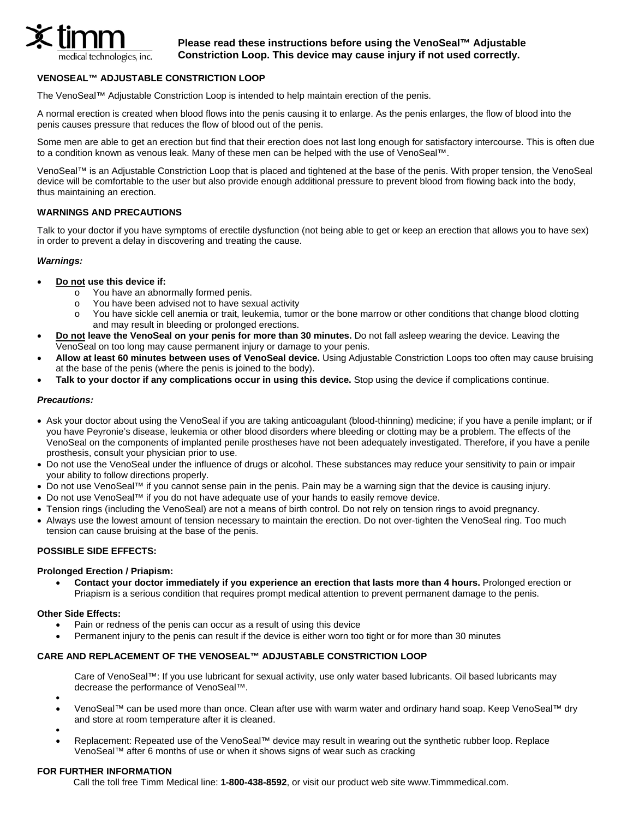

 **Please read these instructions before using the VenoSeal™ Adjustable Constriction Loop. This device may cause injury if not used correctly.** 

# **VENOSEAL™ ADJUSTABLE CONSTRICTION LOOP**

The VenoSeal™ Adjustable Constriction Loop is intended to help maintain erection of the penis.

A normal erection is created when blood flows into the penis causing it to enlarge. As the penis enlarges, the flow of blood into the penis causes pressure that reduces the flow of blood out of the penis.

Some men are able to get an erection but find that their erection does not last long enough for satisfactory intercourse. This is often due to a condition known as venous leak. Many of these men can be helped with the use of VenoSeal™.

VenoSeal™ is an Adjustable Constriction Loop that is placed and tightened at the base of the penis. With proper tension, the VenoSeal device will be comfortable to the user but also provide enough additional pressure to prevent blood from flowing back into the body, thus maintaining an erection.

# **WARNINGS AND PRECAUTIONS**

Talk to your doctor if you have symptoms of erectile dysfunction (not being able to get or keep an erection that allows you to have sex) in order to prevent a delay in discovering and treating the cause.

### *Warnings:*

- **Do not use this device if:**
	- $\overline{\circ}$  You have an abnormally formed penis.
	- o You have been advised not to have sexual activity
	- o You have sickle cell anemia or trait, leukemia, tumor or the bone marrow or other conditions that change blood clotting and may result in bleeding or prolonged erections.
- **Do not leave the VenoSeal on your penis for more than 30 minutes.** Do not fall asleep wearing the device. Leaving the VenoSeal on too long may cause permanent injury or damage to your penis.
- **Allow at least 60 minutes between uses of VenoSeal device.** Using Adjustable Constriction Loops too often may cause bruising at the base of the penis (where the penis is joined to the body).
- **Talk to your doctor if any complications occur in using this device.** Stop using the device if complications continue.

#### *Precautions:*

- Ask your doctor about using the VenoSeal if you are taking anticoagulant (blood-thinning) medicine; if you have a penile implant; or if you have Peyronie's disease, leukemia or other blood disorders where bleeding or clotting may be a problem. The effects of the VenoSeal on the components of implanted penile prostheses have not been adequately investigated. Therefore, if you have a penile prosthesis, consult your physician prior to use.
- Do not use the VenoSeal under the influence of drugs or alcohol. These substances may reduce your sensitivity to pain or impair your ability to follow directions properly.
- Do not use VenoSeal™ if you cannot sense pain in the penis. Pain may be a warning sign that the device is causing injury.
- Do not use VenoSeal™ if you do not have adequate use of your hands to easily remove device.
- Tension rings (including the VenoSeal) are not a means of birth control. Do not rely on tension rings to avoid pregnancy.
- Always use the lowest amount of tension necessary to maintain the erection. Do not over-tighten the VenoSeal ring. Too much tension can cause bruising at the base of the penis.

# **POSSIBLE SIDE EFFECTS:**

#### **Prolonged Erection / Priapism:**

• **Contact your doctor immediately if you experience an erection that lasts more than 4 hours.** Prolonged erection or Priapism is a serious condition that requires prompt medical attention to prevent permanent damage to the penis.

#### **Other Side Effects:**

- Pain or redness of the penis can occur as a result of using this device
- Permanent injury to the penis can result if the device is either worn too tight or for more than 30 minutes

# **CARE AND REPLACEMENT OF THE VENOSEAL™ ADJUSTABLE CONSTRICTION LOOP**

Care of VenoSeal™: If you use lubricant for sexual activity, use only water based lubricants. Oil based lubricants may decrease the performance of VenoSeal™.

- •
- VenoSeal™ can be used more than once. Clean after use with warm water and ordinary hand soap. Keep VenoSeal™ dry and store at room temperature after it is cleaned.
- Replacement: Repeated use of the VenoSeal™ device may result in wearing out the synthetic rubber loop. Replace VenoSeal™ after 6 months of use or when it shows signs of wear such as cracking

### **FOR FURTHER INFORMATION**

Call the toll free Timm Medical line: **1-800-438-8592**, or visit our product web site www.Timmmedical.com.